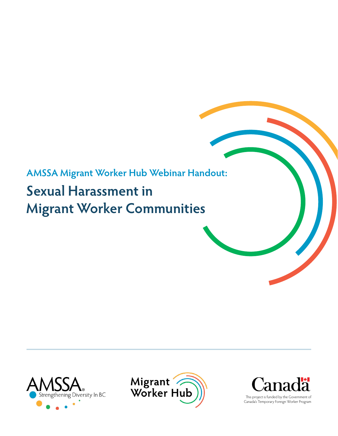## **AMSSA Migrant Worker Hub Webinar Handout:**

# **Sexual Harassment in Migrant Worker Communities**







Canada's Temporary Foreign Worker Program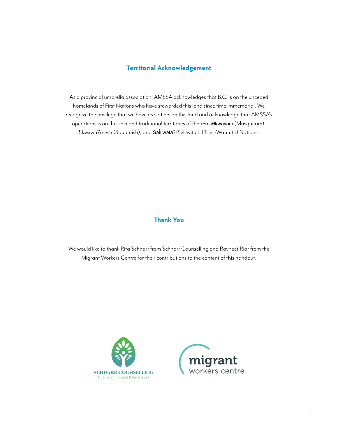#### **Territorial Acknowledgement**

As a provincial umbrella association, AMSSA acknowledges that B.C. is on the unceded homelands of First Nations who have stewarded this land since time immemorial. We recognize the privilege that we have as settlers on this land and acknowledge that AMSSA's operations is on the unceded traditional territories of the x<sup>w</sup>maθkwayvam (Musqueam), Skwxwú7mesh (Squamish), and **Səİílwətaʔ**/Selilwitulh (Tsleil-Waututh) Nations.

#### **Thank You**

We would like to thank Rita Schnarr from Schnarr Counselling and Ravneet Riar from the Migrant Workers Centre for their contributions to the content of this handout.



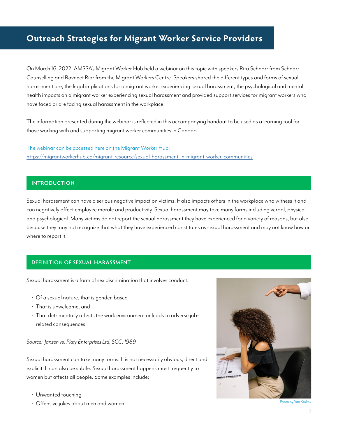### **Outreach Strategies for Migrant Worker Service Providers**

On March 16, 2022, AMSSA's Migrant Worker Hub held a webinar on this topic with speakers Rita Schnarr from Schnarr Counselling and Ravneet Riar from the Migrant Workers Centre. Speakers shared the different types and forms of sexual harassment are, the legal implications for a migrant worker experiencing sexual harassment, the psychological and mental health impacts on a migrant worker experiencing sexual harassment and provided support services for migrant workers who have faced or are facing sexual harassment in the workplace.

The information presented during the webinar is reflected in this accompanying handout to be used as a learning tool for those working with and supporting migrant worker communities in Canada.

The webinar can be accessed here on the Migrant Worker Hub: <https://migrantworkerhub.ca/migrant-resource/sexual-harassment-in-migrant-worker-communities>

#### **INTRODUCTION**

Sexual harassment can have a serious negative impact on victims. It also impacts others in the workplace who witness it and can negatively affect employee morale and productivity. Sexual harassment may take many forms including verbal, physical and psychological. Many victims do not report the sexual harassment they have experienced for a variety of reasons, but also because they may not recognize that what they have experienced constitutes as sexual harassment and may not know how or where to report it.

#### **DEFINITION OF SEXUAL HARASSMENT**

Sexual harassment is a form of sex discrimination that involves conduct:

- Of a sexual nature, that is gender-based
- That is unwelcome, and
- That detrimentally affects the work environment or leads to adverse jobrelated consequences.

#### *Source: Janzen vs. Platy Enterprises Ltd, SCC, 1989*

Sexual harassment can take many forms. It is not necessarily obvious, direct and explicit. It can also be subtle. Sexual harassment happens most frequently to women but affects all people. Some examples include:

- Unwanted touching
- Offensive jokes about men and women



Photo by Yan Krukov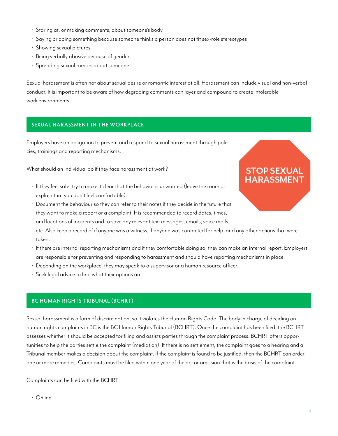- Staring at, or making comments, about someone's body
- Saying or doing something because someone thinks a person does not fit sex-role stereotypes
- Showing sexual pictures
- Being verbally abusive because of gender
- Spreading sexual rumors about someone

Sexual harassment is often not about sexual desire or romantic interest at all. Harassment can include visual and non-verbal conduct. It is important to be aware of how degrading comments can layer and compound to create intolerable work environments.

#### **SEXUAL HARASSMENT IN THE WORKPLACE**

Employers have an obligation to prevent and respond to sexual harassment through policies, trainings and reporting mechanisms.

What should an individual do if they face harassment at work?

- If they feel safe, try to make it clear that the behavior is unwanted (leave the room or explain that you don't feel comfortable).
- Document the behaviour so they can refer to their notes if they decide in the future that they want to make a report or a complaint. It is recommended to record dates, times, and locations of incidents and to save any relevant text messages, emails, voice mails, etc. Also keep a record of if anyone was a witness, if anyone was contacted for help, and any other actions that were taken.
- If there are internal reporting mechanisms and if they comfortable doing so, they can make an internal report. Employers are responsible for preventing and responding to harassment and should have reporting mechanisms in place.
- Depending on the workplace, they may speak to a supervisor or a human resource officer.
- Seek legal advice to find what their options are.

#### **BC HUMAN RIGHTS TRIBUNAL (BCHRT)**

Sexual harassment is a form of discrimination, so it violates the Human Rights Code. The body in charge of deciding on human rights complaints in BC is the BC Human Rights Tribunal (BCHRT). Once the complaint has been filed, the BCHRT assesses whether it should be accepted for filing and assists parties through the complaint process. BCHRT offers opportunities to help the parties settle the complaint (mediation). If there is no settlement, the complaint goes to a hearing and a Tribunal member makes a decision about the complaint. If the complaint is found to be justified, then the BCHRT can order one or more remedies. Complaints must be filed within one year of the act or omission that is the basis of the complaint.

Complaints can be filed with the BCHRT:

• Online

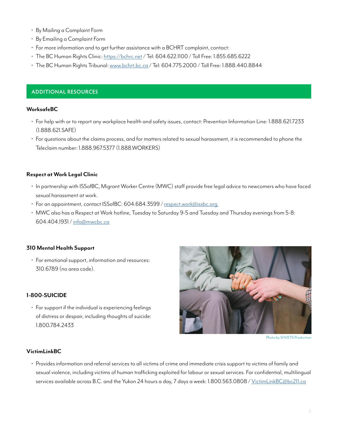- By Mailing a Complaint Form
- By Emailing a Complaint Form
- For more information and to get further assistance with a BCHRT complaint, contact:
- The BC Human Rights Clinic: <https://bchrc.net>/ Tel: 604.622.1100 / Toll Free: 1.855.685.6222
- The BC Human Rights Tribunal: [www.bchrt.bc.ca](http://www.bchrt.bc.ca) / Tel: 604.775.2000 / Toll Free: 1.888.440.8844

#### **ADDITIONAL RESOURCES**

#### **WorksafeBC**

- For help with or to report any workplace health and safety issues, contact: Prevention Information Line: 1.888.621.7233 (1.888.621.SAFE)
- For questions about the claims process, and for matters related to sexual harassment, it is recommended to phone the Teleclaim number: 1.888.967.5377 (1.888.WORKERS)

#### **Respect at Work Legal Clinic**

- In partnership with ISSofBC, Migrant Worker Centre (MWC) staff provide free legal advice to newcomers who have faced sexual harassment at work.
- For an appointment, contact ISSofBC: 604.684.3599 / [respect.work@issbc.org](mailto:respect.work%40issbc.org%20?subject=)
- MWC also has a Respect at Work hotline, Tuesday to Saturday 9-5 and Tuesday and Thursday evenings from 5-8: 604.404.1931 / [info@mwcbc.ca](mailto:info%40mwcbc.ca?subject=)

#### **310 Mental Health Support**

• For emotional support, information and resources: 310.6789 (no area code).

#### **1-800-SUICIDE**

• For support if the individual is experiencing feelings of distress or despair, including thoughts of suicide: 1.800.784.2433



Photo by SHVETS Production

#### **VictimLinkBC**

• Provides information and referral services to all victims of crime and immediate crisis support to victims of family and sexual violence, including victims of human trafficking exploited for labour or sexual services. For confidential, multilingual services available across B.C. and the Yukon 24 hours a day, 7 days a week: 1.800.563.0808 / [VictimLinkBC@bc211.ca](mailto:VictimLinkBC%40bc211.ca?subject=)